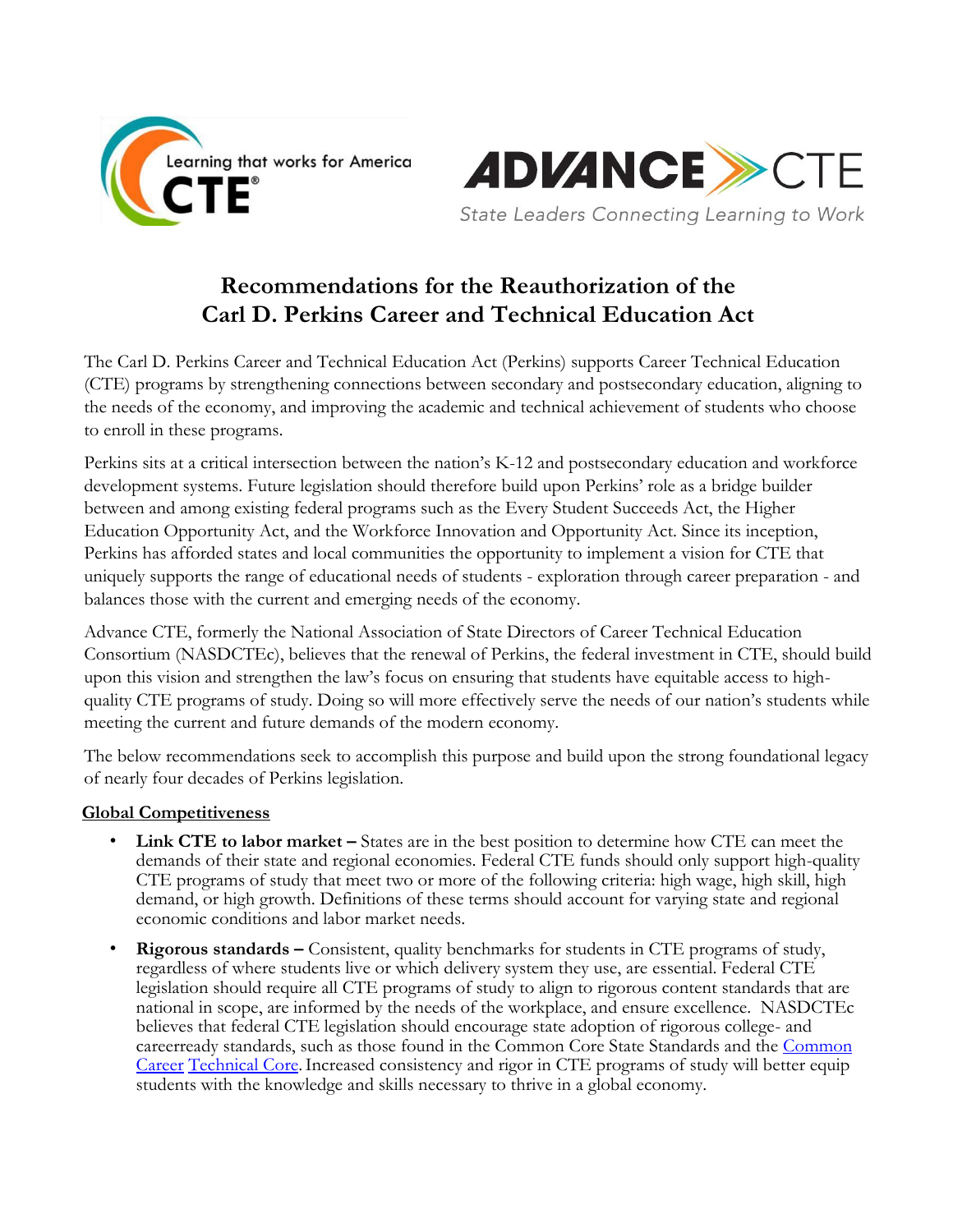



**Recommendations for the Reauthorization of the Carl D. Perkins Career and Technical Education Act**

The Carl D. Perkins Career and Technical Education Act (Perkins) supports Career Technical Education (CTE) programs by strengthening connections between secondary and postsecondary education, aligning to the needs of the economy, and improving the academic and technical achievement of students who choose to enroll in these programs.

Perkins sits at a critical intersection between the nation's K-12 and postsecondary education and workforce development systems. Future legislation should therefore build upon Perkins' role as a bridge builder between and among existing federal programs such as the Every Student Succeeds Act, the Higher Education Opportunity Act, and the Workforce Innovation and Opportunity Act. Since its inception, Perkins has afforded states and local communities the opportunity to implement a vision for CTE that uniquely supports the range of educational needs of students - exploration through career preparation - and balances those with the current and emerging needs of the economy.

Advance CTE, formerly the National Association of State Directors of Career Technical Education Consortium (NASDCTEc), believes that the renewal of Perkins, the federal investment in CTE, should build upon this vision and strengthen the law's focus on ensuring that students have equitable access to highquality CTE programs of study. Doing so will more effectively serve the needs of our nation's students while meeting the current and future demands of the modern economy.

The below recommendations seek to accomplish this purpose and build upon the strong foundational legacy of nearly four decades of Perkins legislation.

# **Global Competitiveness**

- **Link CTE to labor market –** States are in the best position to determine how CTE can meet the demands of their state and regional economies. Federal CTE funds should only support high-quality CTE programs of study that meet two or more of the following criteria: high wage, high skill, high demand, or high growth. Definitions of these terms should account for varying state and regional economic conditions and labor market needs.
- **Rigorous standards –** Consistent, quality benchmarks for students in CTE programs of study, regardless of where students live or which delivery system they use, are essential. Federal CTE legislation should require all CTE programs of study to align to rigorous content standards that are national in scope, are informed by the needs of the workplace, and ensure excellence. NASDCTEc believes that federal CTE legislation should encourage state adoption of rigorous college- and careerready standards, such as those found in the Common Core State Standards and th[e](http://www.careertech.org/career-technical-education/cctc/) [Common](http://www.careertech.org/career-technical-education/cctc/) [Career](http://www.careertech.org/career-technical-education/cctc/) Technical Core. Increased consistency and rigor in CTE programs of study will better equip students with the knowledge and skills necessary to thrive in a global economy.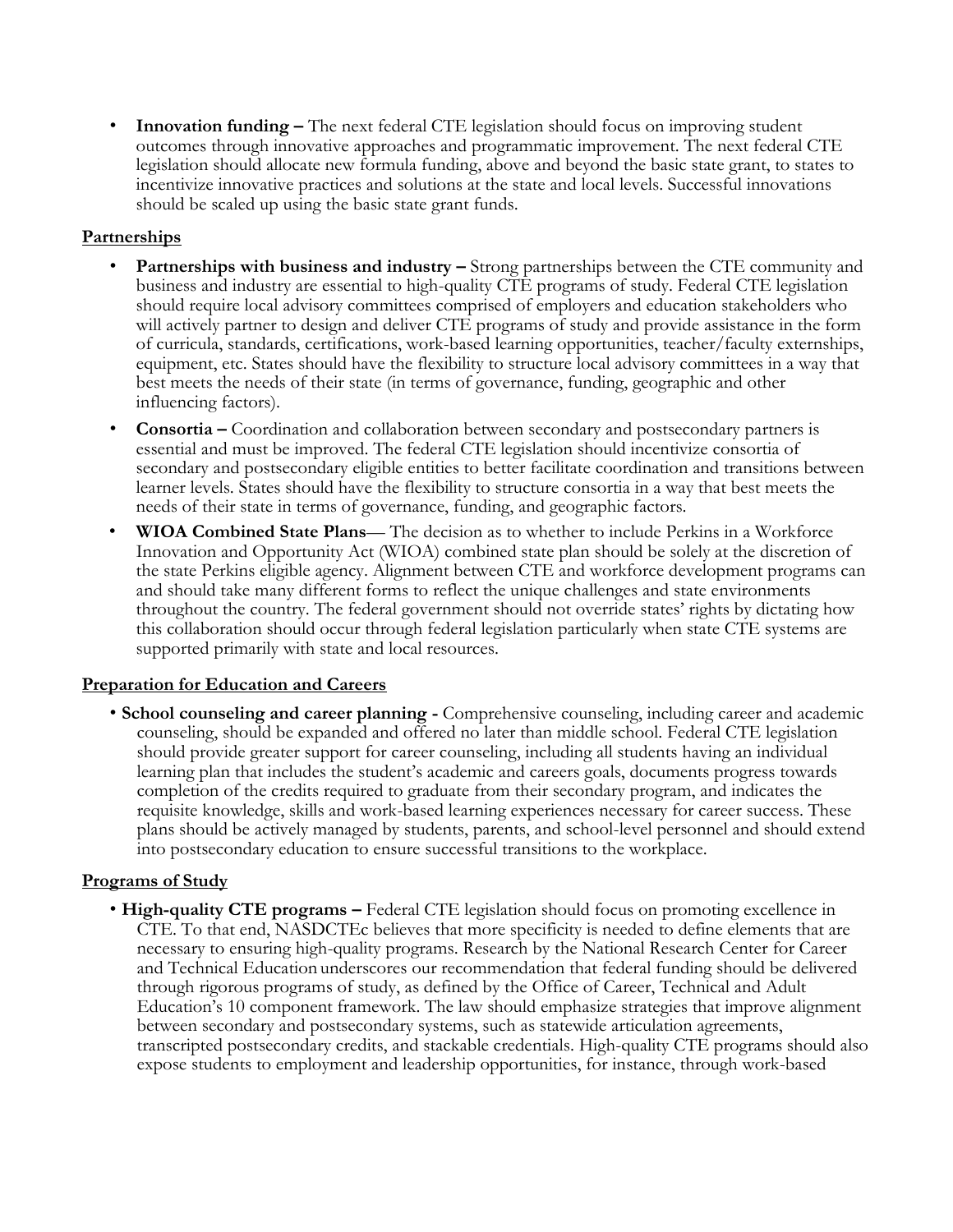**Innovation funding –** The next federal CTE legislation should focus on improving student outcomes through innovative approaches and programmatic improvement. The next federal CTE legislation should allocate new formula funding, above and beyond the basic state grant, to states to incentivize innovative practices and solutions at the state and local levels. Successful innovations should be scaled up using the basic state grant funds.

## **Partnerships**

- **Partnerships with business and industry –** Strong partnerships between the CTE community and business and industry are essential to high-quality CTE programs of study. Federal CTE legislation should require local advisory committees comprised of employers and education stakeholders who will actively partner to design and deliver CTE programs of study and provide assistance in the form of curricula, standards, certifications, work-based learning opportunities, teacher/faculty externships, equipment, etc. States should have the flexibility to structure local advisory committees in a way that best meets the needs of their state (in terms of governance, funding, geographic and other influencing factors).
- **Consortia –** Coordination and collaboration between secondary and postsecondary partners is essential and must be improved. The federal CTE legislation should incentivize consortia of secondary and postsecondary eligible entities to better facilitate coordination and transitions between learner levels. States should have the flexibility to structure consortia in a way that best meets the needs of their state in terms of governance, funding, and geographic factors.
- **WIOA Combined State Plans** The decision as to whether to include Perkins in a Workforce Innovation and Opportunity Act (WIOA) combined state plan should be solely at the discretion of the state Perkins eligible agency. Alignment between CTE and workforce development programs can and should take many different forms to reflect the unique challenges and state environments throughout the country. The federal government should not override states' rights by dictating how this collaboration should occur through federal legislation particularly when state CTE systems are supported primarily with state and local resources.

#### **Preparation for Education and Careers**

• **School counseling and career planning -** Comprehensive counseling, including career and academic counseling, should be expanded and offered no later than middle school. Federal CTE legislation should provide greater support for career counseling, including all students having an individual learning plan that includes the student's academic and careers goals, documents progress towards completion of the credits required to graduate from their secondary program, and indicates the requisite knowledge, skills and work-based learning experiences necessary for career success. These plans should be actively managed by students, parents, and school-level personnel and should extend into postsecondary education to ensure successful transitions to the workplace.

#### **Programs of Study**

• **High-quality CTE programs –** Federal CTE legislation should focus on promoting excellence in CTE. To that end, NASDCTEc believes that more specificity is needed to define elements that are necessary to ensuring high-quality programs. Research by the National Research Center for Career and Technical Education underscores our recommendation that federal funding should be delivered through rigorous programs of study, as defined by the Office of Career, Technical and Adult Education's 10 component framework. The law should emphasize strategies that improve alignment between secondary and postsecondary systems, such as statewide articulation agreements, transcripted postsecondary credits, and stackable credentials. High-quality CTE programs should also expose students to employment and leadership opportunities, for instance, through work-based